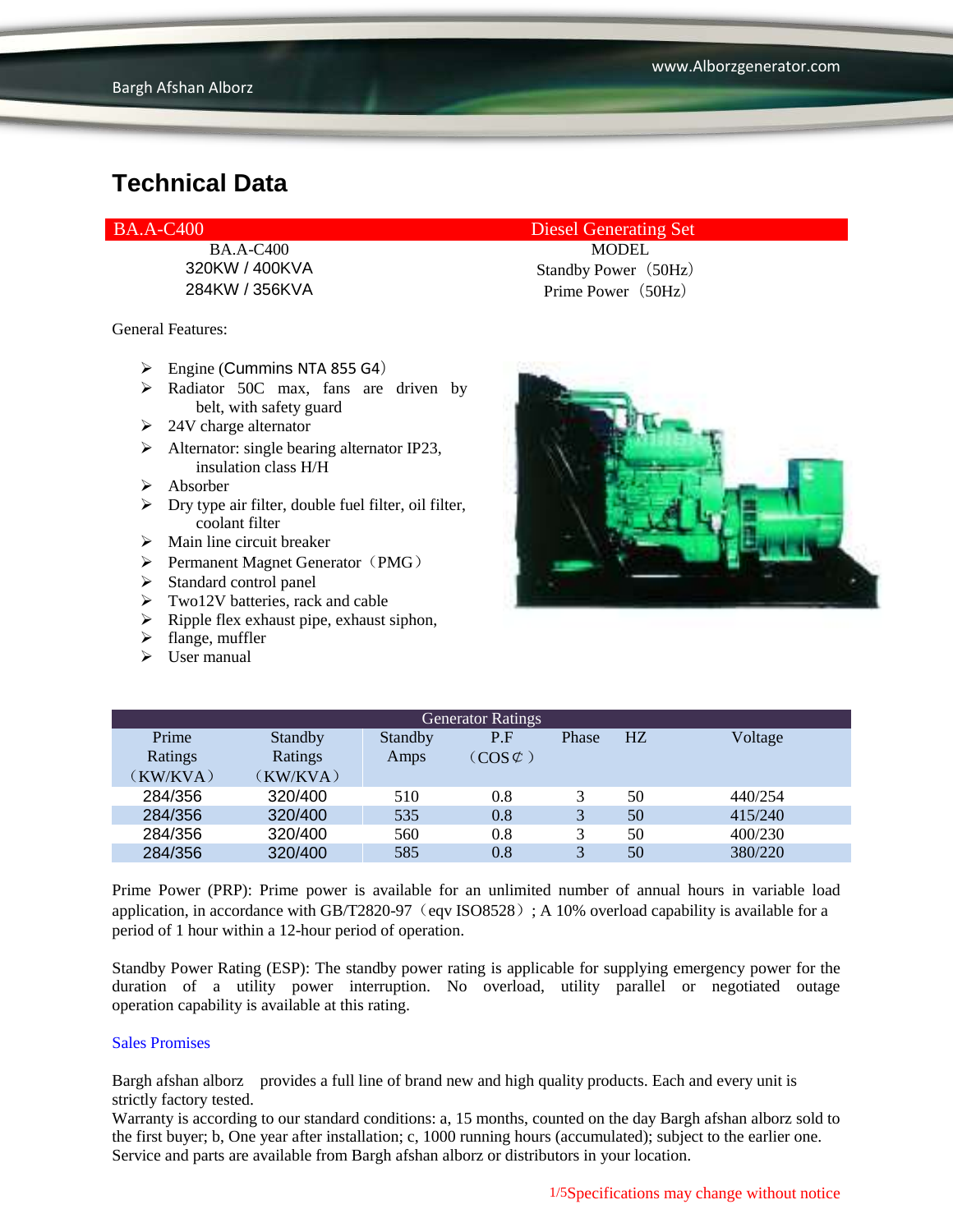General Features:

- $\triangleright$  Engine (Cummins NTA 855 G4)
- > Radiator 50C max, fans are driven by belt, with safety guard
- $\geq$  24V charge alternator
- $\triangleright$  Alternator: single bearing alternator IP23, insulation class H/H
- $\triangleright$  Absorber
- $\triangleright$  Dry type air filter, double fuel filter, oil filter, coolant filter
- $\triangleright$  Main line circuit breaker
- $\triangleright$  Permanent Magnet Generator (PMG)
- $\blacktriangleright$  Standard control panel
- $\triangleright$  Two12V batteries, rack and cable
- $\triangleright$  Ripple flex exhaust pipe, exhaust siphon,
- $\blacktriangleright$  flange, muffler
- $\triangleright$  User manual

BA.A-C400 Diesel Generating Set

BA.A-C400 MODEL 320KW / 400KVA Standby Power (50Hz) 284KW / 356KVA Prime Power(50Hz)



| <b>Generator Ratings</b> |          |         |                     |              |                |         |
|--------------------------|----------|---------|---------------------|--------------|----------------|---------|
| Prime                    | Standby  | Standby | P.F                 | Phase        | H <sub>Z</sub> | Voltage |
| Ratings                  | Ratings  | Amps    | $(COS \mathcal{C})$ |              |                |         |
| (KW/KVA)                 | (KW/KVA) |         |                     |              |                |         |
| 284/356                  | 320/400  | 510     | 0.8                 |              | 50             | 440/254 |
| 284/356                  | 320/400  | 535     | 0.8                 | 3            | 50             | 415/240 |
| 284/356                  | 320/400  | 560     | 0.8                 | 3            | 50             | 400/230 |
| 284/356                  | 320/400  | 585     | 0.8                 | $\mathbf{R}$ | 50             | 380/220 |

Prime Power (PRP): Prime power is available for an unlimited number of annual hours in variable load application, in accordance with GB/T2820-97 (eqv ISO8528); A 10% overload capability is available for a period of 1 hour within a 12-hour period of operation.

Standby Power Rating (ESP): The standby power rating is applicable for supplying emergency power for the duration of a utility power interruption. No overload, utility parallel or negotiated outage operation capability is available at this rating.

### Sales Promises

Bargh afshan alborz provides a full line of brand new and high quality products. Each and every unit is strictly factory tested.

Warranty is according to our standard conditions: a, 15 months, counted on the day Bargh afshan alborz sold to the first buyer; b, One year after installation; c, 1000 running hours (accumulated); subject to the earlier one. Service and parts are available from Bargh afshan alborz or distributors in your location.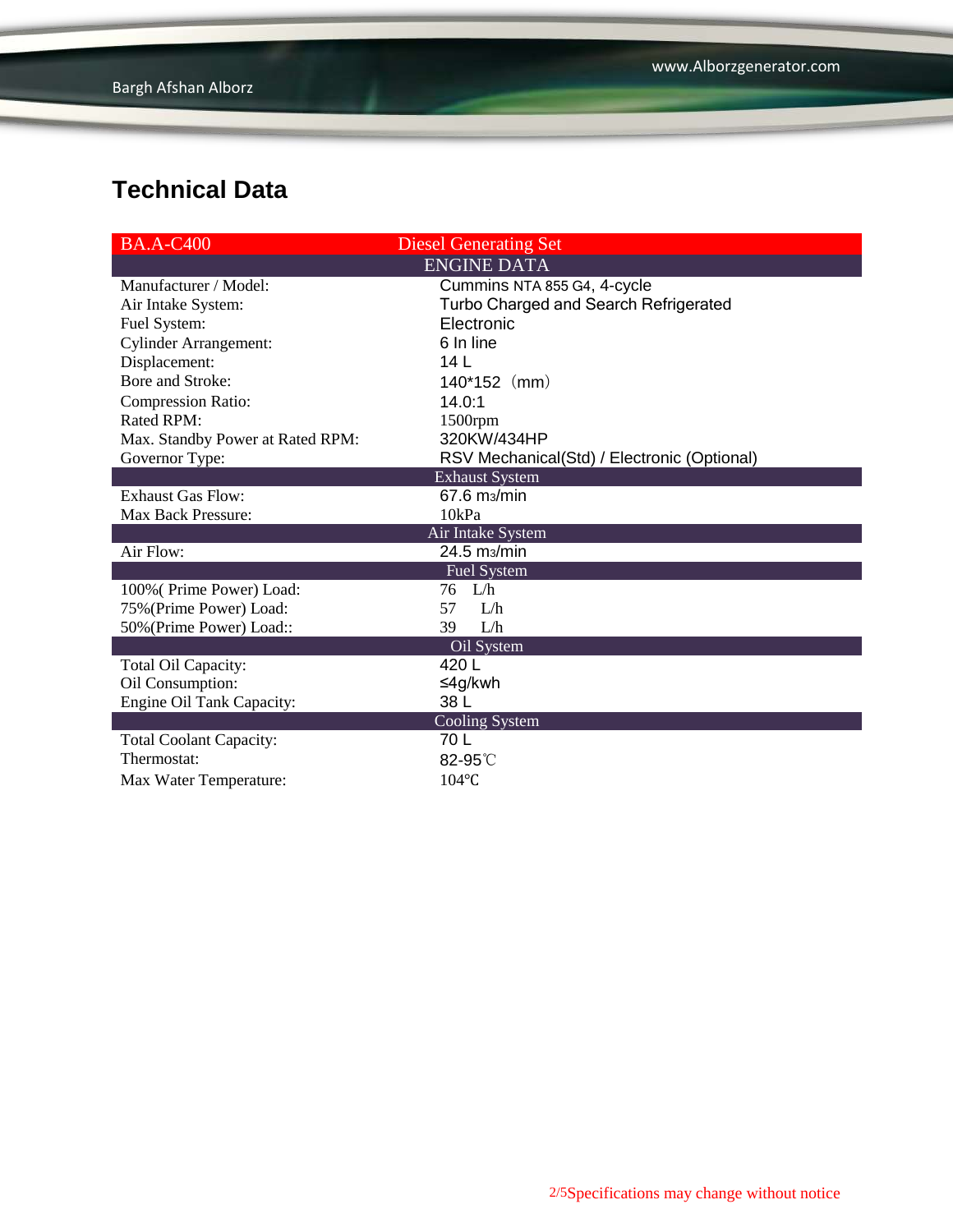| <b>BA.A-C400</b>                 | <b>Diesel Generating Set</b>                |  |  |
|----------------------------------|---------------------------------------------|--|--|
|                                  | <b>ENGINE DATA</b>                          |  |  |
| Manufacturer / Model:            | Cummins NTA 855 G4, 4-cycle                 |  |  |
| Air Intake System:               | Turbo Charged and Search Refrigerated       |  |  |
| Fuel System:                     | Electronic                                  |  |  |
| <b>Cylinder Arrangement:</b>     | 6 In line                                   |  |  |
| Displacement:                    | 14 <sub>L</sub>                             |  |  |
| <b>Bore and Stroke:</b>          | $140*152$ (mm)                              |  |  |
| <b>Compression Ratio:</b>        | 14.0:1                                      |  |  |
| <b>Rated RPM:</b>                | 1500rpm                                     |  |  |
| Max. Standby Power at Rated RPM: | 320KW/434HP                                 |  |  |
| Governor Type:                   | RSV Mechanical(Std) / Electronic (Optional) |  |  |
|                                  | <b>Exhaust System</b>                       |  |  |
| <b>Exhaust Gas Flow:</b>         | $67.6$ m $/m$ in                            |  |  |
| Max Back Pressure:               | 10kPa                                       |  |  |
|                                  | Air Intake System                           |  |  |
| Air Flow:                        | 24.5 m <sub>3</sub> /min                    |  |  |
|                                  | <b>Fuel System</b>                          |  |  |
| 100% (Prime Power) Load:         | 76 L/h                                      |  |  |
| 75% (Prime Power) Load:          | 57<br>L/h                                   |  |  |
| 50% (Prime Power) Load::         | 39<br>L/h                                   |  |  |
|                                  | Oil System                                  |  |  |
| Total Oil Capacity:              | 420 L                                       |  |  |
| Oil Consumption:                 | ≤4g/kwh                                     |  |  |
| Engine Oil Tank Capacity:        | 38 L                                        |  |  |
|                                  | <b>Cooling System</b>                       |  |  |
| <b>Total Coolant Capacity:</b>   | 70 L                                        |  |  |
| Thermostat:                      | 82-95°C                                     |  |  |
| Max Water Temperature:           | $104$ °C                                    |  |  |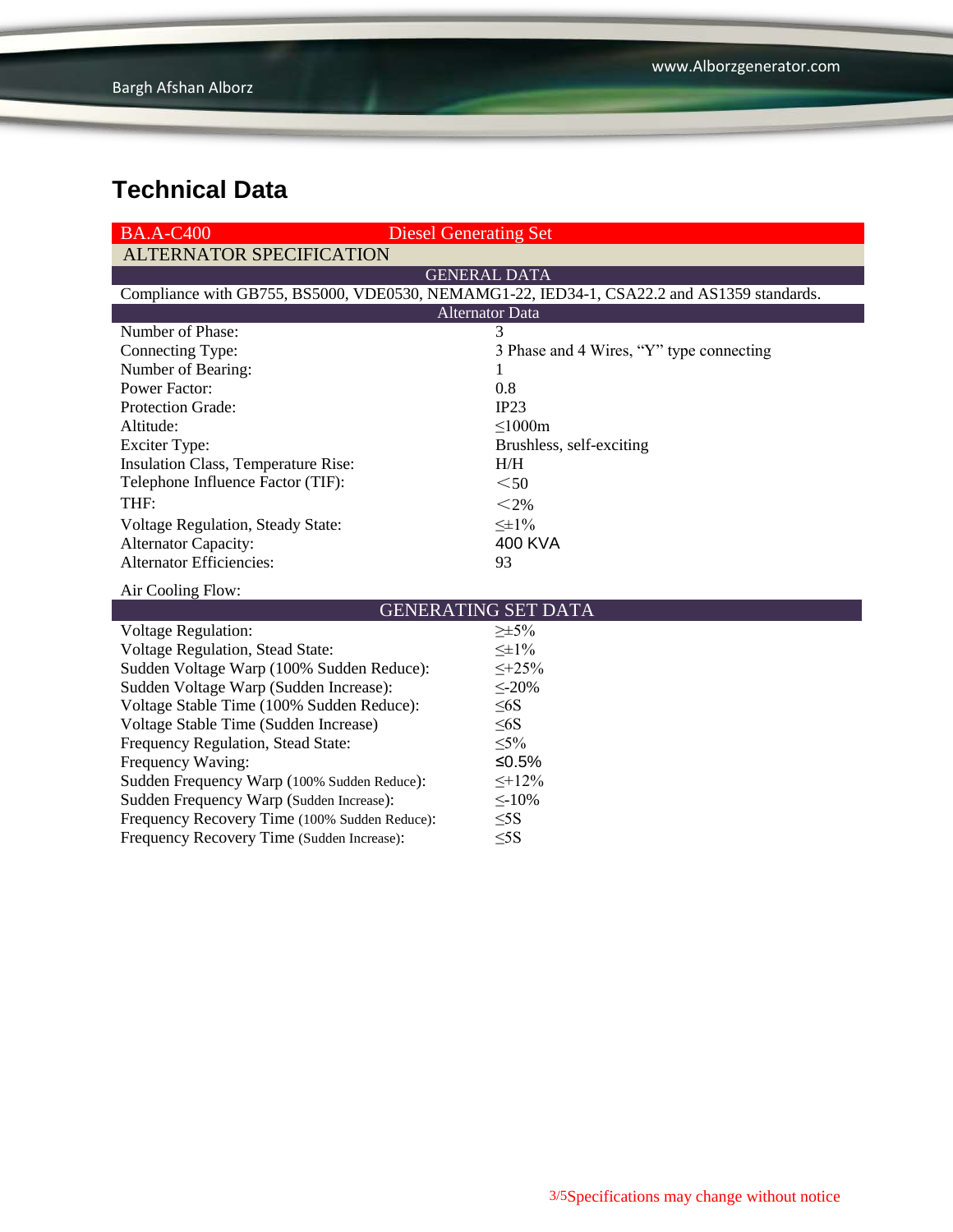| <b>BA.A-C400</b><br><b>Diesel Generating Set</b>                                                                |                                          |  |  |  |  |
|-----------------------------------------------------------------------------------------------------------------|------------------------------------------|--|--|--|--|
| <b>ALTERNATOR SPECIFICATION</b>                                                                                 |                                          |  |  |  |  |
| <b>GENERAL DATA</b>                                                                                             |                                          |  |  |  |  |
| Compliance with GB755, BS5000, VDE0530, NEMAMG1-22, IED34-1, CSA22.2 and AS1359 standards.                      |                                          |  |  |  |  |
| <b>Alternator Data</b>                                                                                          |                                          |  |  |  |  |
| Number of Phase:                                                                                                | 3                                        |  |  |  |  |
| Connecting Type:                                                                                                | 3 Phase and 4 Wires, "Y" type connecting |  |  |  |  |
| Number of Bearing:                                                                                              |                                          |  |  |  |  |
| <b>Power Factor:</b>                                                                                            | 0.8                                      |  |  |  |  |
| Protection Grade:                                                                                               | IP23                                     |  |  |  |  |
| Altitude:                                                                                                       | $\leq$ 1000m                             |  |  |  |  |
| <b>Exciter Type:</b>                                                                                            | Brushless, self-exciting                 |  |  |  |  |
| Insulation Class, Temperature Rise:                                                                             | H/H                                      |  |  |  |  |
| Telephone Influence Factor (TIF):                                                                               | $50$                                     |  |  |  |  |
| THF:                                                                                                            | $<$ 2%                                   |  |  |  |  |
| Voltage Regulation, Steady State:                                                                               | $\leq \pm 1\%$                           |  |  |  |  |
| Alternator Capacity:                                                                                            | <b>400 KVA</b>                           |  |  |  |  |
| <b>Alternator Efficiencies:</b>                                                                                 | 93                                       |  |  |  |  |
| Air Cooling Flow:                                                                                               |                                          |  |  |  |  |
| <b>GENERATING SET DATA</b>                                                                                      |                                          |  |  |  |  |
| <b>Voltage Regulation:</b>                                                                                      | $\geq \pm 5\%$                           |  |  |  |  |
| <b>Voltage Regulation, Stead State:</b>                                                                         | $\leq \pm 1\%$                           |  |  |  |  |
| Sudden Voltage Warp (100% Sudden Reduce):                                                                       | $\leq +25\%$                             |  |  |  |  |
| Sudden Voltage Warp (Sudden Increase):                                                                          | $< 20\%$                                 |  |  |  |  |
| Voltage Stable Time (100% Sudden Reduce):                                                                       | $\leq 6S$                                |  |  |  |  |
| Voltage Stable Time (Sudden Increase)                                                                           | $\leq 6S$                                |  |  |  |  |
| Frequency Regulation, Stead State:                                                                              | $\leq 5\%$                               |  |  |  |  |
| Frequency Waving:                                                                                               | ≤ $0.5%$                                 |  |  |  |  |
| Sudden Frequency Warp (100% Sudden Reduce):                                                                     | $\leq +12\%$                             |  |  |  |  |
| Sudden Frequency Warp (Sudden Increase):                                                                        | $\leq$ -10%                              |  |  |  |  |
| $E_{\text{Foulonov}}$ $D_{\text{Goulow}}$ $T_{\text{imp}}$ (1000/ $\Omega_{\text{L}}$ and $D_{\text{coulow}}$ ) | $\epsilon$                               |  |  |  |  |

Frequency Recovery Time (100% Sudden Reduce): ≤5S<br>Frequency Recovery Time (Sudden Increase): ≤5S Frequency Recovery Time (Sudden Increase):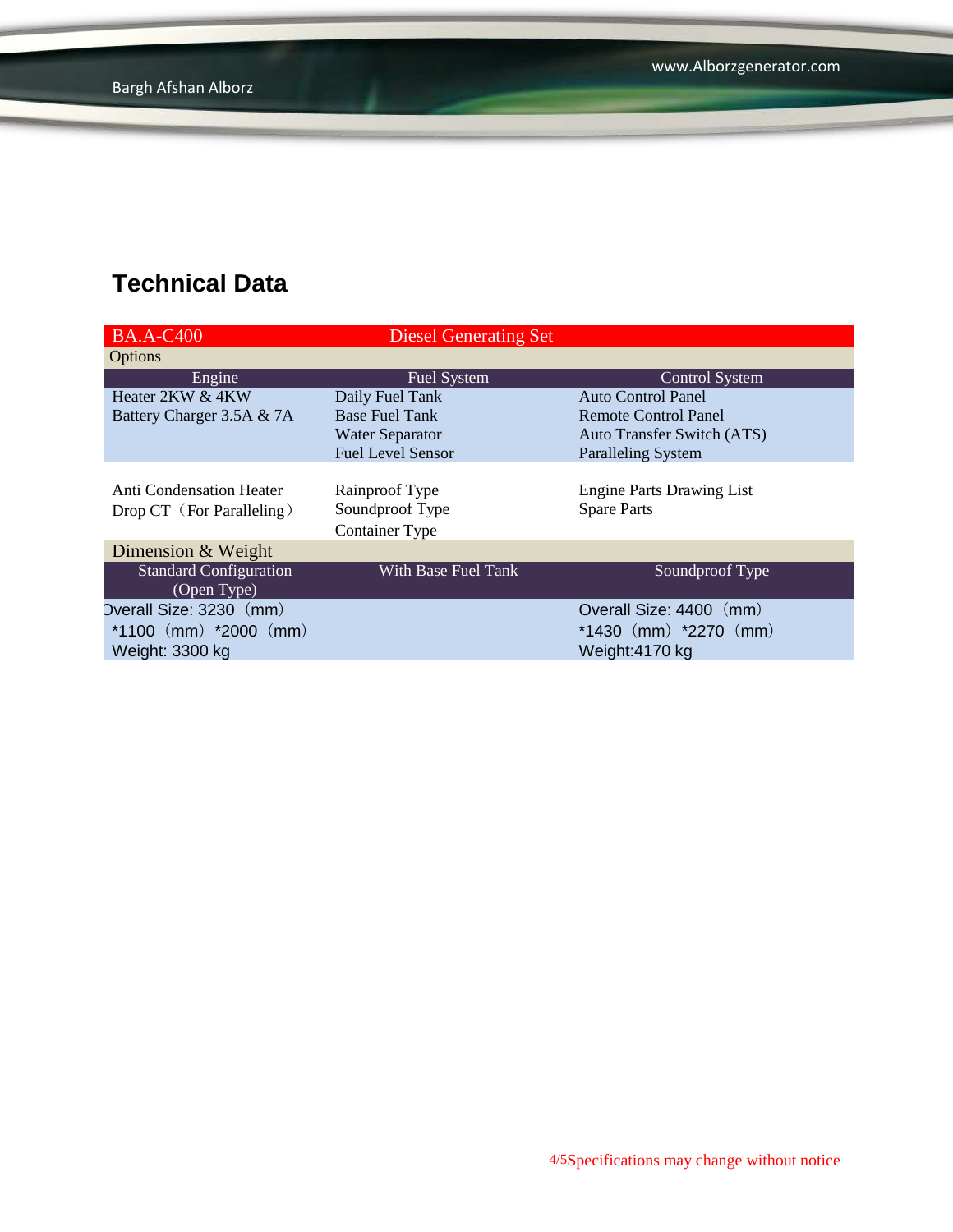| <b>BA.A-C400</b>              | <b>Diesel Generating Set</b> |                                   |
|-------------------------------|------------------------------|-----------------------------------|
| Options                       |                              |                                   |
| Engine                        | <b>Fuel System</b>           | Control System                    |
| Heater 2KW & 4KW              | Daily Fuel Tank              | <b>Auto Control Panel</b>         |
| Battery Charger 3.5A & 7A     | <b>Base Fuel Tank</b>        | Remote Control Panel              |
|                               | <b>Water Separator</b>       | <b>Auto Transfer Switch (ATS)</b> |
|                               | <b>Fuel Level Sensor</b>     | <b>Paralleling System</b>         |
|                               |                              |                                   |
| Anti Condensation Heater      | Rainproof Type               | <b>Engine Parts Drawing List</b>  |
| Drop CT (For Paralleling)     | Soundproof Type              | <b>Spare Parts</b>                |
|                               | <b>Container Type</b>        |                                   |
| Dimension & Weight            |                              |                                   |
| <b>Standard Configuration</b> | With Base Fuel Tank          | Soundproof Type                   |
| (Open Type)                   |                              |                                   |
| Overall Size: 3230 (mm)       |                              | Overall Size: 4400 (mm)           |
| *1100 $(mm)$ *2000 $(mm)$     |                              | $*1430$ (mm) $*2270$ (mm)         |
| Weight: 3300 kg               |                              | Weight: 4170 kg                   |